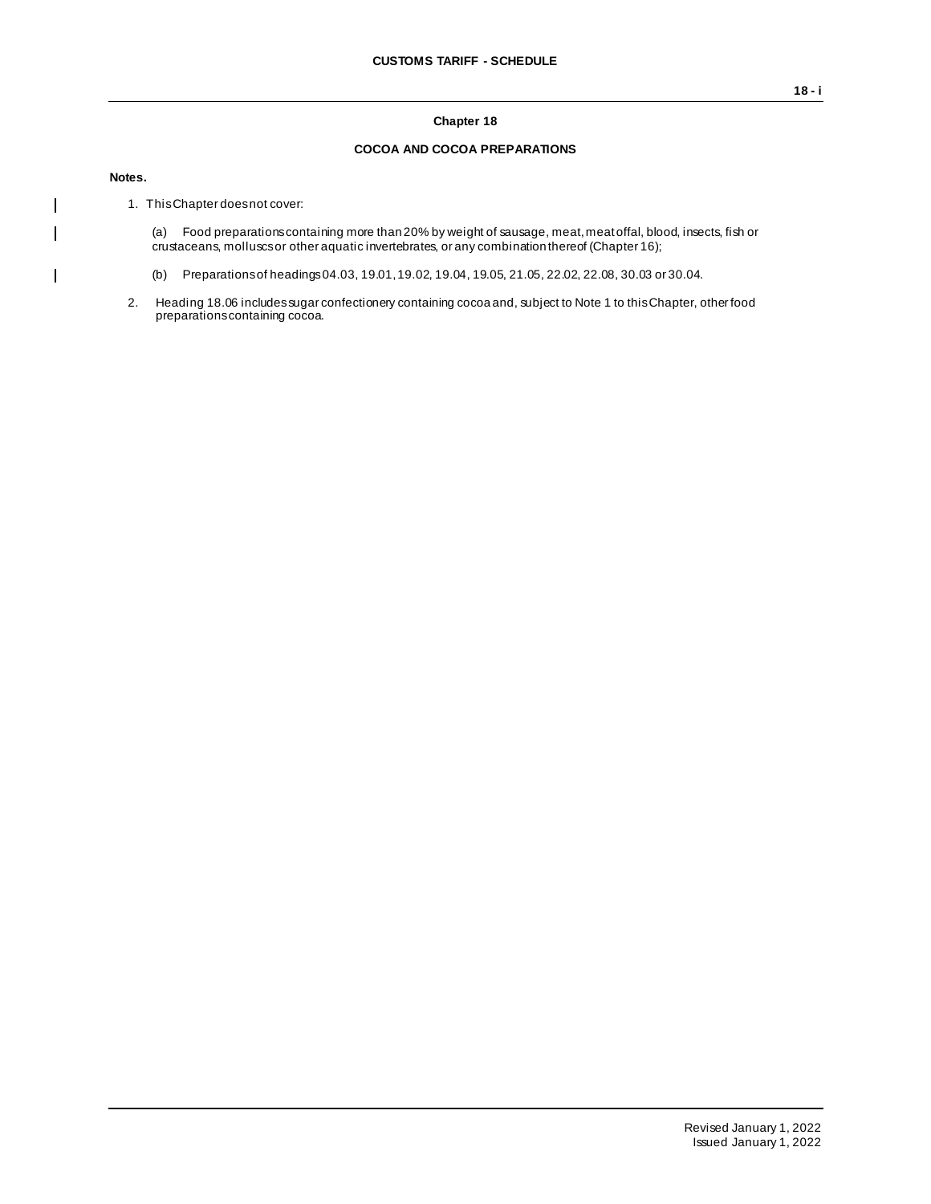## **Chapter 18**

## **COCOA AND COCOA PREPARATIONS**

**Notes.**

 $\mathsf{I}$  $\mathbf{I}$ 

 $\overline{1}$ 

1. This Chapter does not cover:

(a) Food preparations containing more than 20% by weight of sausage, meat, meat offal, blood, insects, fish or crustaceans, molluscs or other aquatic invertebrates, or any combination thereof (Chapter 16);

- (b) Preparations of headings 04.03, 19.01, 19.02, 19.04, 19.05, 21.05, 22.02, 22.08, 30.03 or 30.04.
- 2. Heading 18.06 includes sugar confectionery containing cocoa and, subject to Note 1 to this Chapter, other food preparations containing cocoa.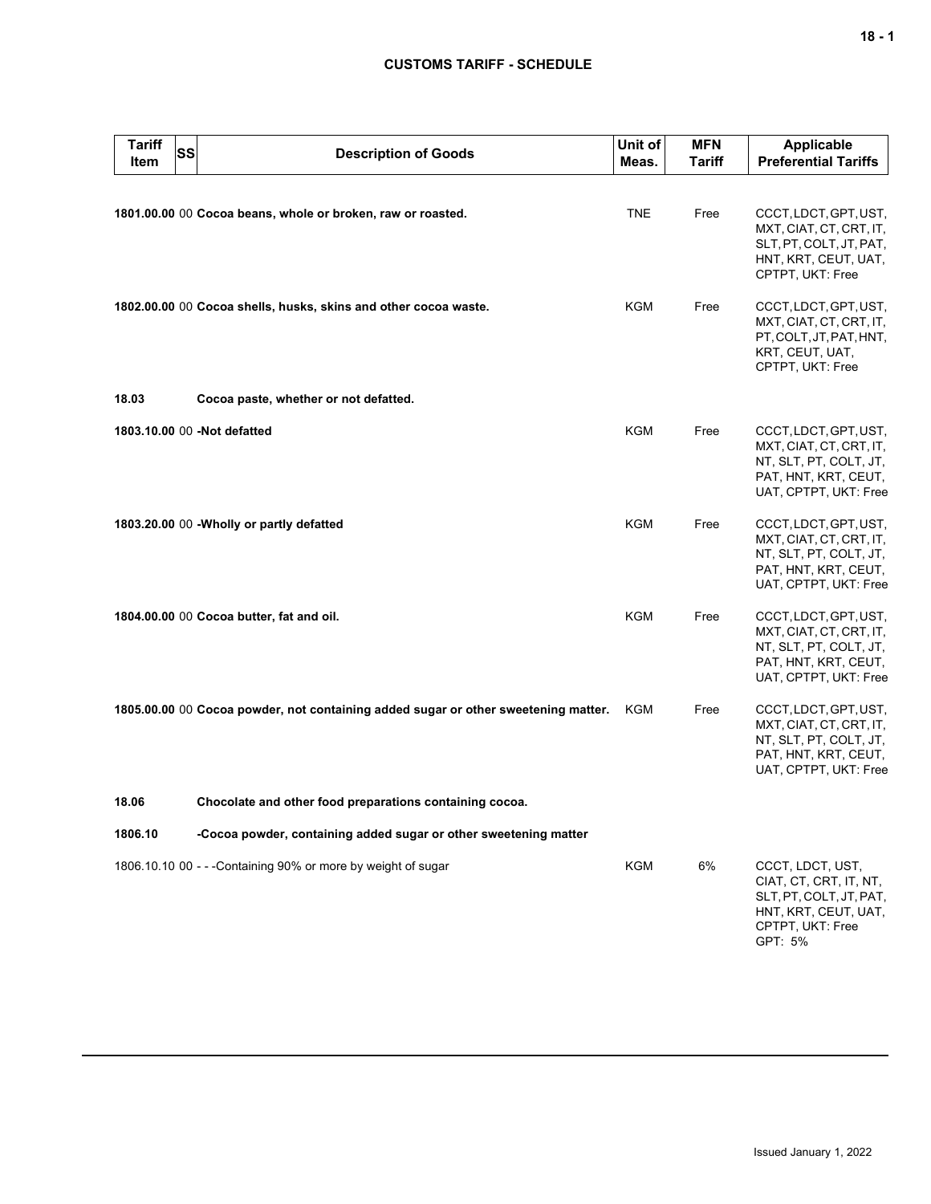## **CUSTOMS TARIFF - SCHEDULE**

| <b>Tariff</b><br><b>Item</b> | <b>SS</b> | <b>Description of Goods</b>                                                        | Unit of<br>Meas. | <b>MFN</b><br><b>Tariff</b> | <b>Applicable</b><br><b>Preferential Tariffs</b>                                                                             |
|------------------------------|-----------|------------------------------------------------------------------------------------|------------------|-----------------------------|------------------------------------------------------------------------------------------------------------------------------|
|                              |           | 1801.00.00 00 Cocoa beans, whole or broken, raw or roasted.                        | <b>TNE</b>       | Free                        | CCCT, LDCT, GPT, UST,<br>MXT, CIAT, CT, CRT, IT,<br>SLT, PT, COLT, JT, PAT,<br>HNT, KRT, CEUT, UAT,<br>CPTPT, UKT: Free      |
|                              |           | 1802.00.00 00 Cocoa shells, husks, skins and other cocoa waste.                    | KGM              | Free                        | CCCT, LDCT, GPT, UST,<br>MXT, CIAT, CT, CRT, IT,<br>PT, COLT, JT, PAT, HNT,<br>KRT, CEUT, UAT,<br>CPTPT, UKT: Free           |
| 18.03                        |           | Cocoa paste, whether or not defatted.                                              |                  |                             |                                                                                                                              |
|                              |           | 1803.10.00 00 -Not defatted                                                        | <b>KGM</b>       | Free                        | CCCT, LDCT, GPT, UST,<br>MXT, CIAT, CT, CRT, IT,<br>NT, SLT, PT, COLT, JT,<br>PAT, HNT, KRT, CEUT,<br>UAT, CPTPT, UKT: Free  |
|                              |           | 1803.20.00 00 - Wholly or partly defatted                                          | <b>KGM</b>       | Free                        | CCCT, LDCT, GPT, UST,<br>MXT, CIAT, CT, CRT, IT,<br>NT, SLT, PT, COLT, JT,<br>PAT, HNT, KRT, CEUT,<br>UAT, CPTPT, UKT: Free  |
|                              |           | 1804.00.00 00 Cocoa butter, fat and oil.                                           | KGM              | Free                        | CCCT, LDCT, GPT, UST,<br>MXT, CIAT, CT, CRT, IT,<br>NT, SLT, PT, COLT, JT,<br>PAT, HNT, KRT, CEUT,<br>UAT, CPTPT, UKT: Free  |
|                              |           | 1805.00.00 00 Cocoa powder, not containing added sugar or other sweetening matter. | KGM              | Free                        | CCCT, LDCT, GPT, UST,<br>MXT, CIAT, CT, CRT, IT,<br>NT, SLT, PT, COLT, JT,<br>PAT, HNT, KRT, CEUT,<br>UAT, CPTPT, UKT: Free  |
| 18.06                        |           | Chocolate and other food preparations containing cocoa.                            |                  |                             |                                                                                                                              |
| 1806.10                      |           | -Cocoa powder, containing added sugar or other sweetening matter                   |                  |                             |                                                                                                                              |
|                              |           | 1806.10.10 00 - - - Containing 90% or more by weight of sugar                      | KGM              | 6%                          | CCCT, LDCT, UST,<br>CIAT, CT, CRT, IT, NT,<br>SLT, PT, COLT, JT, PAT,<br>HNT, KRT, CEUT, UAT,<br>CPTPT, UKT: Free<br>GPT: 5% |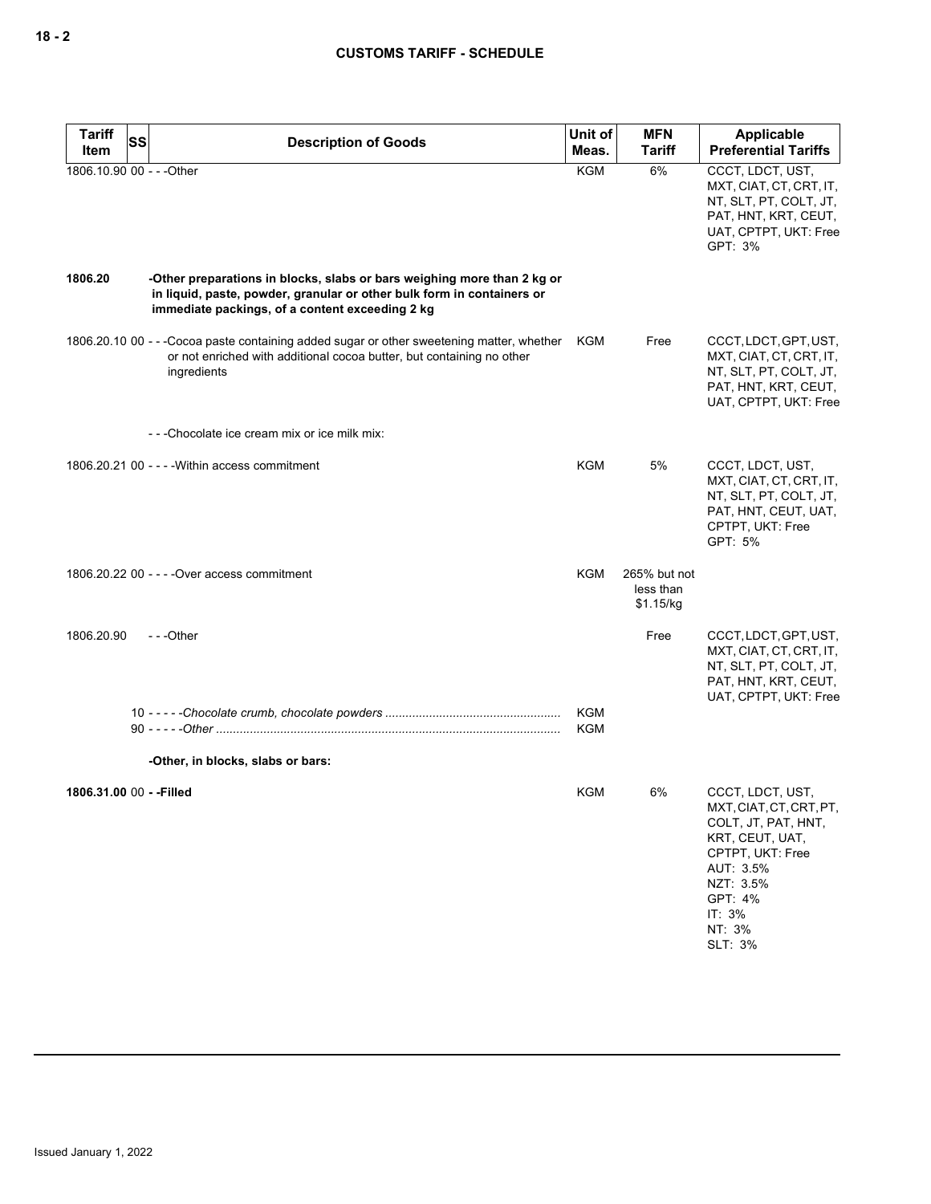| <b>Tariff</b><br>Item     | SS | <b>Description of Goods</b>                                                                                                                                                                          | Unit of<br>Meas.         | <b>MFN</b><br>Tariff                   | <b>Applicable</b><br><b>Preferential Tariffs</b>                                                                                                                              |
|---------------------------|----|------------------------------------------------------------------------------------------------------------------------------------------------------------------------------------------------------|--------------------------|----------------------------------------|-------------------------------------------------------------------------------------------------------------------------------------------------------------------------------|
| 1806.10.90 00 - - - Other |    |                                                                                                                                                                                                      | <b>KGM</b>               | 6%                                     | CCCT, LDCT, UST,<br>MXT, CIAT, CT, CRT, IT,<br>NT, SLT, PT, COLT, JT,<br>PAT, HNT, KRT, CEUT,<br>UAT, CPTPT, UKT: Free<br>GPT: 3%                                             |
| 1806.20                   |    | -Other preparations in blocks, slabs or bars weighing more than 2 kg or<br>in liquid, paste, powder, granular or other bulk form in containers or<br>immediate packings, of a content exceeding 2 kg |                          |                                        |                                                                                                                                                                               |
|                           |    | 1806.20.10 00 - - - Cocoa paste containing added sugar or other sweetening matter, whether<br>or not enriched with additional cocoa butter, but containing no other<br>ingredients                   | KGM                      | Free                                   | CCCT, LDCT, GPT, UST,<br>MXT, CIAT, CT, CRT, IT,<br>NT, SLT, PT, COLT, JT,<br>PAT, HNT, KRT, CEUT,<br>UAT, CPTPT, UKT: Free                                                   |
|                           |    | ---Chocolate ice cream mix or ice milk mix:                                                                                                                                                          |                          |                                        |                                                                                                                                                                               |
|                           |    | 1806.20.21 00 - - - - Within access commitment                                                                                                                                                       | <b>KGM</b>               | 5%                                     | CCCT, LDCT, UST,<br>MXT, CIAT, CT, CRT, IT,<br>NT, SLT, PT, COLT, JT,<br>PAT, HNT, CEUT, UAT,<br>CPTPT, UKT: Free<br>GPT: 5%                                                  |
|                           |    | 1806.20.22 00 - - - - Over access commitment                                                                                                                                                         | <b>KGM</b>               | 265% but not<br>less than<br>\$1.15/kg |                                                                                                                                                                               |
| 1806.20.90                |    | ---Other                                                                                                                                                                                             |                          | Free                                   | CCCT, LDCT, GPT, UST,<br>MXT, CIAT, CT, CRT, IT,<br>NT, SLT, PT, COLT, JT,<br>PAT, HNT, KRT, CEUT,<br>UAT, CPTPT, UKT: Free                                                   |
|                           |    |                                                                                                                                                                                                      | <b>KGM</b><br><b>KGM</b> |                                        |                                                                                                                                                                               |
|                           |    | -Other, in blocks, slabs or bars:                                                                                                                                                                    |                          |                                        |                                                                                                                                                                               |
| 1806.31.00 00 - - Filled  |    |                                                                                                                                                                                                      | <b>KGM</b>               | 6%                                     | CCCT, LDCT, UST,<br>MXT, CIAT, CT, CRT, PT,<br>COLT, JT, PAT, HNT,<br>KRT, CEUT, UAT,<br>CPTPT, UKT: Free<br>AUT: 3.5%<br>NZT: 3.5%<br>GPT: 4%<br>IT: 3%<br>NT: 3%<br>SLT: 3% |